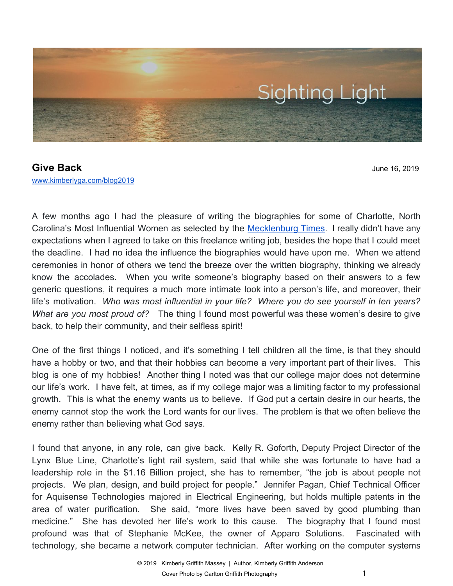

**Give Back** June 16, 2019 [www.kimberlyga.com/blog2019](http://www.kimberlyga.com/blog)

A few months ago I had the pleasure of writing the biographies for some of Charlotte, North Carolina's Most Influential Women as selected by the [Mecklenburg](https://mecktimes.com/50-most-influential-women/) Times. I really didn't have any expectations when I agreed to take on this freelance writing job, besides the hope that I could meet the deadline. I had no idea the influence the biographies would have upon me. When we attend ceremonies in honor of others we tend the breeze over the written biography, thinking we already know the accolades. When you write someone's biography based on their answers to a few generic questions, it requires a much more intimate look into a person's life, and moreover, their life's motivation. *Who was most influential in your life? Where you do see yourself in ten years? What are you most proud of?* The thing I found most powerful was these women's desire to give back, to help their community, and their selfless spirit!

One of the first things I noticed, and it's something I tell children all the time, is that they should have a hobby or two, and that their hobbies can become a very important part of their lives. This blog is one of my hobbies! Another thing I noted was that our college major does not determine our life's work. I have felt, at times, as if my college major was a limiting factor to my professional growth. This is what the enemy wants us to believe. If God put a certain desire in our hearts, the enemy cannot stop the work the Lord wants for our lives. The problem is that we often believe the enemy rather than believing what God says.

I found that anyone, in any role, can give back. Kelly R. Goforth, Deputy Project Director of the Lynx Blue Line, Charlotte's light rail system, said that while she was fortunate to have had a leadership role in the \$1.16 Billion project, she has to remember, "the job is about people not projects. We plan, design, and build project for people." Jennifer Pagan, Chief Technical Officer for Aquisense Technologies majored in Electrical Engineering, but holds multiple patents in the area of water purification. She said, "more lives have been saved by good plumbing than medicine." She has devoted her life's work to this cause. The biography that I found most profound was that of Stephanie McKee, the owner of Apparo Solutions. Fascinated with technology, she became a network computer technician. After working on the computer systems